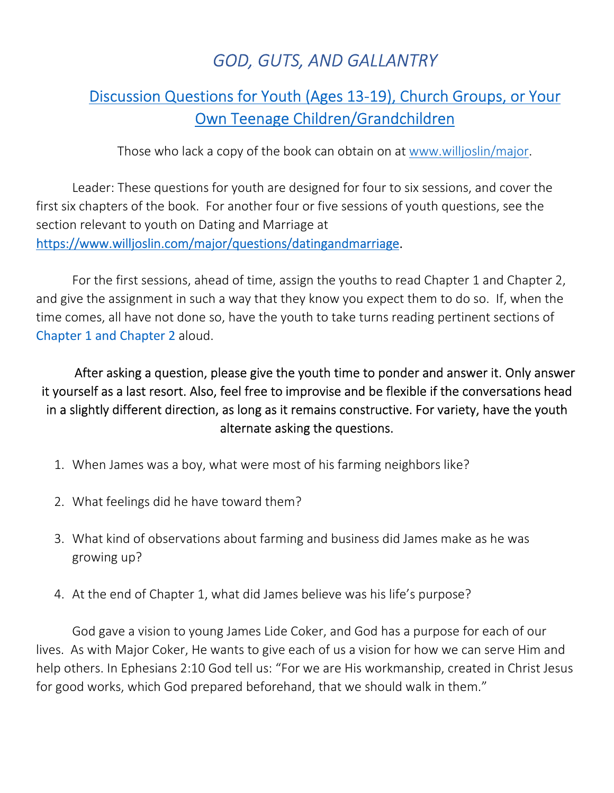## *GOD, GUTS, AND GALLANTRY*

## Discussion Questions for Youth (Ages 13-19), Church Groups, or Your Own Teenage Children/Grandchildren

Those who lack a copy of the book can obtain on at www.willjoslin/major.

Leader: These questions for youth are designed for four to six sessions, and cover the first six chapters of the book. For another four or five sessions of youth questions, see the section relevant to youth on Dating and Marriage at https://www.willjoslin.com/major/questions/datingandmarriage.

For the first sessions, ahead of time, assign the youths to read Chapter 1 and Chapter 2, and give the assignment in such a way that they know you expect them to do so. If, when the time comes, all have not done so, have the youth to take turns reading pertinent sections of Chapter 1 and Chapter 2 aloud.

After asking a question, please give the youth time to ponder and answer it. Only answer it yourself as a last resort. Also, feel free to improvise and be flexible if the conversations head in a slightly different direction, as long as it remains constructive. For variety, have the youth alternate asking the questions.

- 1. When James was a boy, what were most of his farming neighbors like?
- 2. What feelings did he have toward them?
- 3. What kind of observations about farming and business did James make as he was growing up?
- 4. At the end of Chapter 1, what did James believe was his life's purpose?

God gave a vision to young James Lide Coker, and God has a purpose for each of our lives. As with Major Coker, He wants to give each of us a vision for how we can serve Him and help others. In Ephesians 2:10 God tell us: "For we are His workmanship, created in Christ Jesus for good works, which God prepared beforehand, that we should walk in them."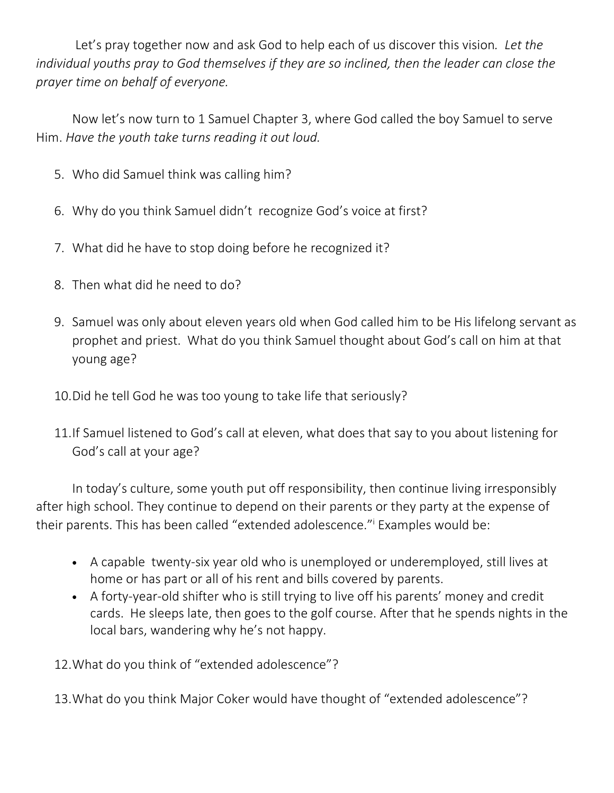Let's pray together now and ask God to help each of us discover this vision*. Let the individual youths pray to God themselves if they are so inclined, then the leader can close the prayer time on behalf of everyone.* 

Now let's now turn to 1 Samuel Chapter 3, where God called the boy Samuel to serve Him. *Have the youth take turns reading it out loud.*

- 5. Who did Samuel think was calling him?
- 6. Why do you think Samuel didn't recognize God's voice at first?
- 7. What did he have to stop doing before he recognized it?
- 8. Then what did he need to do?
- 9. Samuel was only about eleven years old when God called him to be His lifelong servant as prophet and priest. What do you think Samuel thought about God's call on him at that young age?
- 10.Did he tell God he was too young to take life that seriously?
- 11.If Samuel listened to God's call at eleven, what does that say to you about listening for God's call at your age?

In today's culture, some youth put off responsibility, then continue living irresponsibly after high school. They continue to depend on their parents or they party at the expense of their parents. This has been called "extended adolescence." Examples would be:

- A capable twenty-six year old who is unemployed or underemployed, still lives at home or has part or all of his rent and bills covered by parents.
- A forty-year-old shifter who is still trying to live off his parents' money and credit cards. He sleeps late, then goes to the golf course. After that he spends nights in the local bars, wandering why he's not happy.

12.What do you think of "extended adolescence"?

13.What do you think Major Coker would have thought of "extended adolescence"?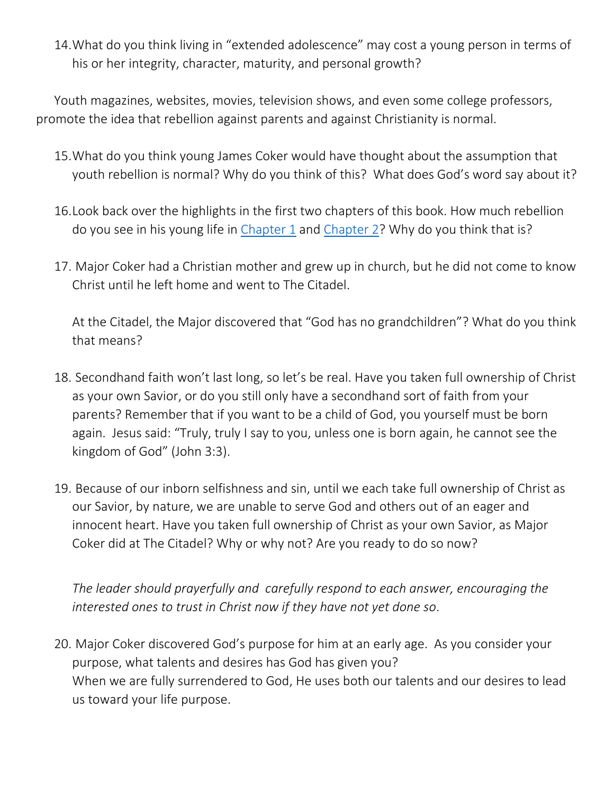14.What do you think living in "extended adolescence" may cost a young person in terms of his or her integrity, character, maturity, and personal growth?

Youth magazines, websites, movies, television shows, and even some college professors, promote the idea that rebellion against parents and against Christianity is normal.

- 15.What do you think young James Coker would have thought about the assumption that youth rebellion is normal? Why do you think of this? What does God's word say about it?
- 16.Look back over the highlights in the first two chapters of this book. How much rebellion do you see in his young life in Chapter 1 and Chapter 2? Why do you think that is?
- 17. Major Coker had a Christian mother and grew up in church, but he did not come to know Christ until he left home and went to The Citadel.

At the Citadel, the Major discovered that "God has no grandchildren"? What do you think that means?

- 18. Secondhand faith won't last long, so let's be real. Have you taken full ownership of Christ as your own Savior, or do you still only have a secondhand sort of faith from your parents? Remember that if you want to be a child of God, you yourself must be born again. Jesus said: "Truly, truly I say to you, unless one is born again, he cannot see the kingdom of God" (John 3:3).
- 19. Because of our inborn selfishness and sin, until we each take full ownership of Christ as our Savior, by nature, we are unable to serve God and others out of an eager and innocent heart. Have you taken full ownership of Christ as your own Savior, as Major Coker did at The Citadel? Why or why not? Are you ready to do so now?

*The leader should prayerfully and carefully respond to each answer, encouraging the interested ones to trust in Christ now if they have not yet done so*.

20. Major Coker discovered God's purpose for him at an early age. As you consider your purpose, what talents and desires has God has given you? When we are fully surrendered to God, He uses both our talents and our desires to lead us toward your life purpose.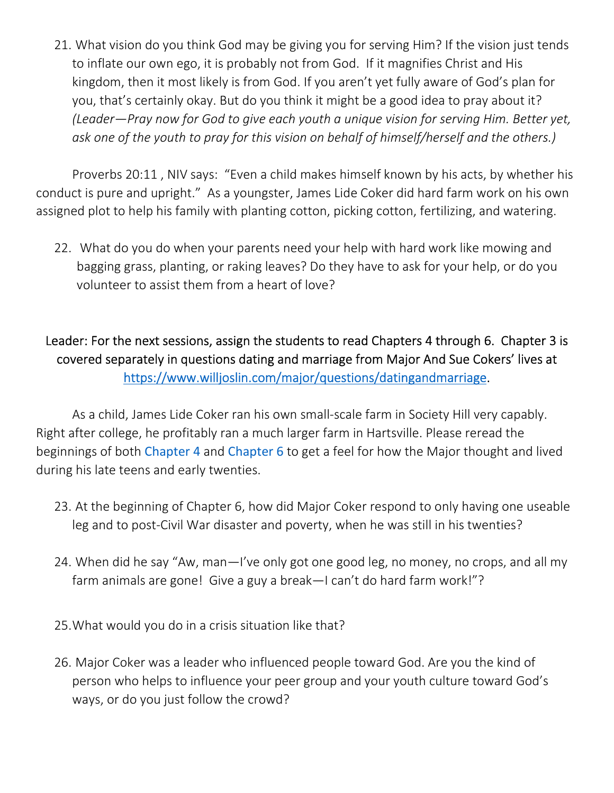21. What vision do you think God may be giving you for serving Him? If the vision just tends to inflate our own ego, it is probably not from God. If it magnifies Christ and His kingdom, then it most likely is from God. If you aren't yet fully aware of God's plan for you, that's certainly okay. But do you think it might be a good idea to pray about it? *(Leader—Pray now for God to give each youth a unique vision for serving Him. Better yet, ask one of the youth to pray for this vision on behalf of himself/herself and the others.)*

Proverbs 20:11 , NIV says: "Even a child makes himself known by his acts, by whether his conduct is pure and upright." As a youngster, James Lide Coker did hard farm work on his own assigned plot to help his family with planting cotton, picking cotton, fertilizing, and watering.

22. What do you do when your parents need your help with hard work like mowing and bagging grass, planting, or raking leaves? Do they have to ask for your help, or do you volunteer to assist them from a heart of love?

## Leader: For the next sessions, assign the students to read Chapters 4 through 6. Chapter 3 is covered separately in questions dating and marriage from Major And Sue Cokers' lives at https://www.willjoslin.com/major/questions/datingandmarriage.

As a child, James Lide Coker ran his own small-scale farm in Society Hill very capably. Right after college, he profitably ran a much larger farm in Hartsville. Please reread the beginnings of both Chapter 4 and Chapter 6 to get a feel for how the Major thought and lived during his late teens and early twenties.

- 23. At the beginning of Chapter 6, how did Major Coker respond to only having one useable leg and to post-Civil War disaster and poverty, when he was still in his twenties?
- 24. When did he say "Aw, man—I've only got one good leg, no money, no crops, and all my farm animals are gone! Give a guy a break—I can't do hard farm work!"?
- 25.What would you do in a crisis situation like that?
- 26. Major Coker was a leader who influenced people toward God. Are you the kind of person who helps to influence your peer group and your youth culture toward God's ways, or do you just follow the crowd?